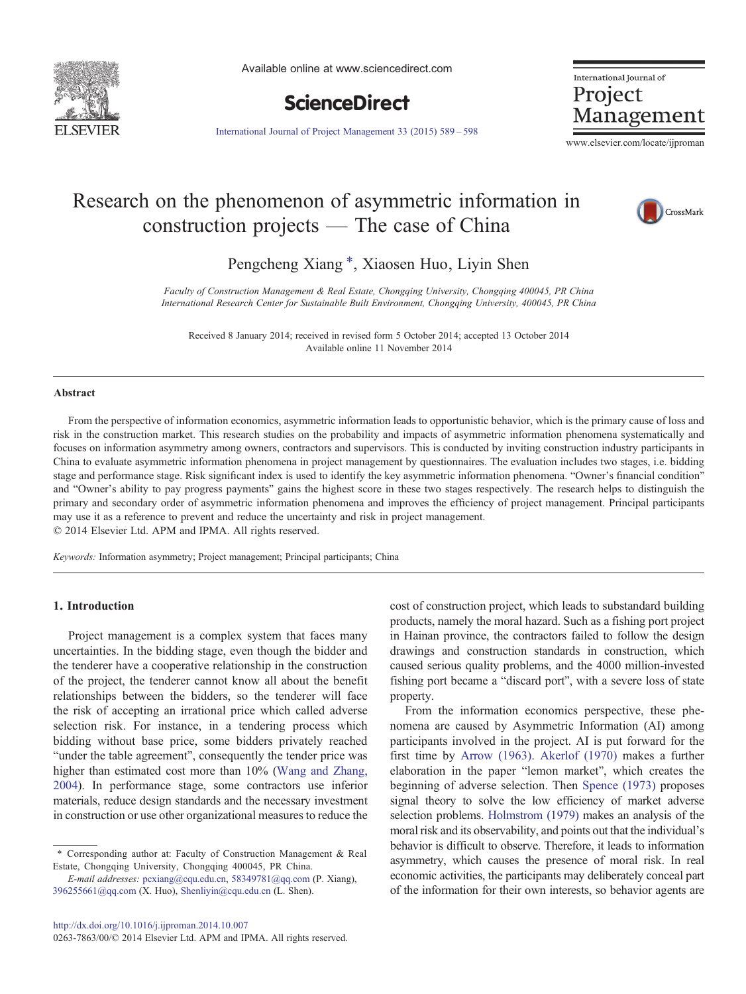

Available online at www.sciencedirect.com



International Journal of Project Management

[International Journal of Project Management 33 \(2015\) 589](http://dx.doi.org/10.1016/j.ijproman.2014.10.007)–598

www.elsevier.com/locate/ijproman

## Research on the phenomenon of asymmetric information in construction projects — The case of China



Pengcheng Xiang  $*$ , Xiaosen Huo, Liyin Shen

Faculty of Construction Management & Real Estate, Chongqing University, Chongqing 400045, PR China International Research Center for Sustainable Built Environment, Chongqing University, 400045, PR China

Received 8 January 2014; received in revised form 5 October 2014; accepted 13 October 2014 Available online 11 November 2014

#### Abstract

From the perspective of information economics, asymmetric information leads to opportunistic behavior, which is the primary cause of loss and risk in the construction market. This research studies on the probability and impacts of asymmetric information phenomena systematically and focuses on information asymmetry among owners, contractors and supervisors. This is conducted by inviting construction industry participants in China to evaluate asymmetric information phenomena in project management by questionnaires. The evaluation includes two stages, i.e. bidding stage and performance stage. Risk significant index is used to identify the key asymmetric information phenomena. "Owner's financial condition" and "Owner's ability to pay progress payments" gains the highest score in these two stages respectively. The research helps to distinguish the primary and secondary order of asymmetric information phenomena and improves the efficiency of project management. Principal participants may use it as a reference to prevent and reduce the uncertainty and risk in project management. © 2014 Elsevier Ltd. APM and IPMA. All rights reserved.

Keywords: Information asymmetry; Project management; Principal participants; China

### 1. Introduction

Project management is a complex system that faces many uncertainties. In the bidding stage, even though the bidder and the tenderer have a cooperative relationship in the construction of the project, the tenderer cannot know all about the benefit relationships between the bidders, so the tenderer will face the risk of accepting an irrational price which called adverse selection risk. For instance, in a tendering process which bidding without base price, some bidders privately reached "under the table agreement", consequently the tender price was higher than estimated cost more than  $10\%$  [\(Wang and Zhang,](#page--1-0) [2004](#page--1-0)). In performance stage, some contractors use inferior materials, reduce design standards and the necessary investment in construction or use other organizational measures to reduce the

<http://dx.doi.org/10.1016/j.ijproman.2014.10.007>

0263-7863/00/© 2014 Elsevier Ltd. APM and IPMA. All rights reserved.

cost of construction project, which leads to substandard building products, namely the moral hazard. Such as a fishing port project in Hainan province, the contractors failed to follow the design drawings and construction standards in construction, which caused serious quality problems, and the 4000 million-invested fishing port became a "discard port", with a severe loss of state property.

From the information economics perspective, these phenomena are caused by Asymmetric Information (AI) among participants involved in the project. AI is put forward for the first time by [Arrow \(1963\).](#page--1-0) [Akerlof \(1970\)](#page--1-0) makes a further elaboration in the paper "lemon market", which creates the beginning of adverse selection. Then [Spence \(1973\)](#page--1-0) proposes signal theory to solve the low efficiency of market adverse selection problems. [Holmstrom \(1979\)](#page--1-0) makes an analysis of the moral risk and its observability, and points out that the individual's behavior is difficult to observe. Therefore, it leads to information asymmetry, which causes the presence of moral risk. In real economic activities, the participants may deliberately conceal part of the information for their own interests, so behavior agents are

<sup>⁎</sup> Corresponding author at: Faculty of Construction Management & Real Estate, Chongqing University, Chongqing 400045, PR China.

E-mail addresses: [pcxiang@cqu.edu.cn,](mailto:pcxiang@cqu.edu.cn) [58349781@qq.com](mailto:58349781@qq.com) (P. Xiang),  $396255661$ @qq.com (X. Huo), [Shenliyin@cqu.edu.cn](mailto:Shenliyin@cqu.edu.cn) (L. Shen).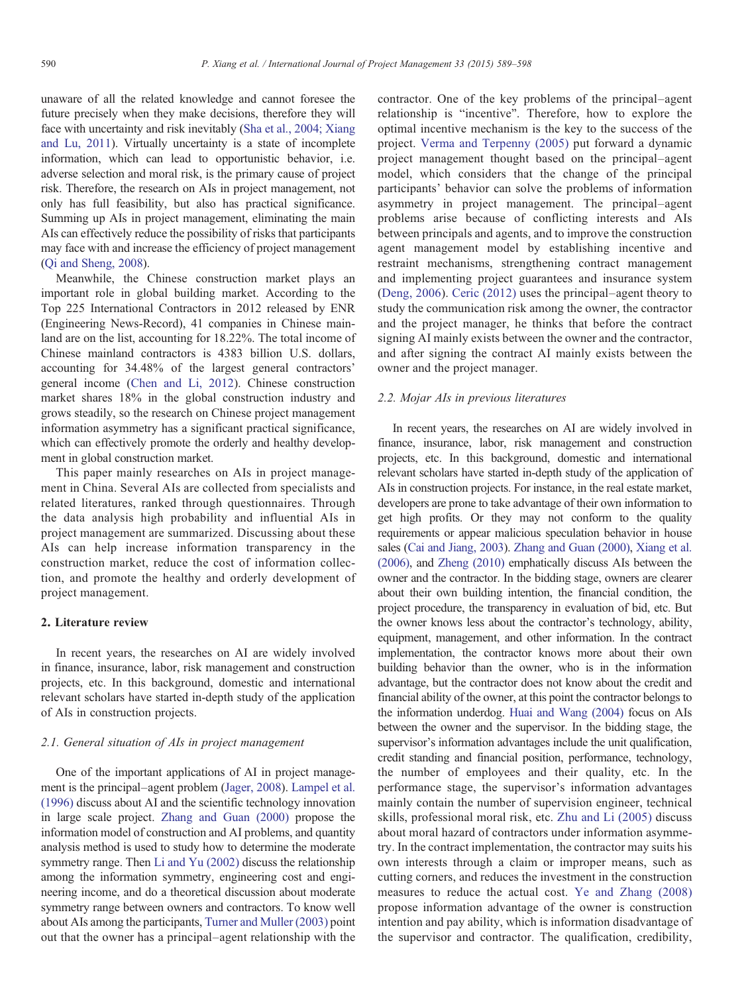unaware of all the related knowledge and cannot foresee the future precisely when they make decisions, therefore they will face with uncertainty and risk inevitably ([Sha et al., 2004; Xiang](#page--1-0) [and Lu, 2011\)](#page--1-0). Virtually uncertainty is a state of incomplete information, which can lead to opportunistic behavior, i.e. adverse selection and moral risk, is the primary cause of project risk. Therefore, the research on AIs in project management, not only has full feasibility, but also has practical significance. Summing up AIs in project management, eliminating the main AIs can effectively reduce the possibility of risks that participants may face with and increase the efficiency of project management ([Qi and Sheng, 2008](#page--1-0)).

Meanwhile, the Chinese construction market plays an important role in global building market. According to the Top 225 International Contractors in 2012 released by ENR (Engineering News-Record), 41 companies in Chinese mainland are on the list, accounting for 18.22%. The total income of Chinese mainland contractors is 4383 billion U.S. dollars, accounting for 34.48% of the largest general contractors' general income ([Chen and Li, 2012\)](#page--1-0). Chinese construction market shares 18% in the global construction industry and grows steadily, so the research on Chinese project management information asymmetry has a significant practical significance, which can effectively promote the orderly and healthy development in global construction market.

This paper mainly researches on AIs in project management in China. Several AIs are collected from specialists and related literatures, ranked through questionnaires. Through the data analysis high probability and influential AIs in project management are summarized. Discussing about these AIs can help increase information transparency in the construction market, reduce the cost of information collection, and promote the healthy and orderly development of project management.

#### 2. Literature review

In recent years, the researches on AI are widely involved in finance, insurance, labor, risk management and construction projects, etc. In this background, domestic and international relevant scholars have started in-depth study of the application of AIs in construction projects.

### 2.1. General situation of AIs in project management

One of the important applications of AI in project management is the principal–agent problem ([Jager, 2008\)](#page--1-0). [Lampel et al.](#page--1-0) [\(1996\)](#page--1-0) discuss about AI and the scientific technology innovation in large scale project. [Zhang and Guan \(2000\)](#page--1-0) propose the information model of construction and AI problems, and quantity analysis method is used to study how to determine the moderate symmetry range. Then [Li and Yu \(2002\)](#page--1-0) discuss the relationship among the information symmetry, engineering cost and engineering income, and do a theoretical discussion about moderate symmetry range between owners and contractors. To know well about AIs among the participants, [Turner and Muller \(2003\)](#page--1-0) point out that the owner has a principal–agent relationship with the contractor. One of the key problems of the principal–agent relationship is "incentive". Therefore, how to explore the optimal incentive mechanism is the key to the success of the project. [Verma and Terpenny \(2005\)](#page--1-0) put forward a dynamic project management thought based on the principal–agent model, which considers that the change of the principal participants' behavior can solve the problems of information asymmetry in project management. The principal–agent problems arise because of conflicting interests and AIs between principals and agents, and to improve the construction agent management model by establishing incentive and restraint mechanisms, strengthening contract management and implementing project guarantees and insurance system ([Deng, 2006](#page--1-0)). [Ceric \(2012\)](#page--1-0) uses the principal–agent theory to study the communication risk among the owner, the contractor and the project manager, he thinks that before the contract signing AI mainly exists between the owner and the contractor, and after signing the contract AI mainly exists between the owner and the project manager.

#### 2.2. Mojar AIs in previous literatures

In recent years, the researches on AI are widely involved in finance, insurance, labor, risk management and construction projects, etc. In this background, domestic and international relevant scholars have started in-depth study of the application of AIs in construction projects. For instance, in the real estate market, developers are prone to take advantage of their own information to get high profits. Or they may not conform to the quality requirements or appear malicious speculation behavior in house sales ([Cai and Jiang, 2003](#page--1-0)). [Zhang and Guan \(2000\),](#page--1-0) [Xiang et al.](#page--1-0) [\(2006\),](#page--1-0) and [Zheng \(2010\)](#page--1-0) emphatically discuss AIs between the owner and the contractor. In the bidding stage, owners are clearer about their own building intention, the financial condition, the project procedure, the transparency in evaluation of bid, etc. But the owner knows less about the contractor's technology, ability, equipment, management, and other information. In the contract implementation, the contractor knows more about their own building behavior than the owner, who is in the information advantage, but the contractor does not know about the credit and financial ability of the owner, at this point the contractor belongs to the information underdog. [Huai and Wang \(2004\)](#page--1-0) focus on AIs between the owner and the supervisor. In the bidding stage, the supervisor's information advantages include the unit qualification, credit standing and financial position, performance, technology, the number of employees and their quality, etc. In the performance stage, the supervisor's information advantages mainly contain the number of supervision engineer, technical skills, professional moral risk, etc. [Zhu and Li \(2005\)](#page--1-0) discuss about moral hazard of contractors under information asymmetry. In the contract implementation, the contractor may suits his own interests through a claim or improper means, such as cutting corners, and reduces the investment in the construction measures to reduce the actual cost. [Ye and Zhang \(2008\)](#page--1-0) propose information advantage of the owner is construction intention and pay ability, which is information disadvantage of the supervisor and contractor. The qualification, credibility,